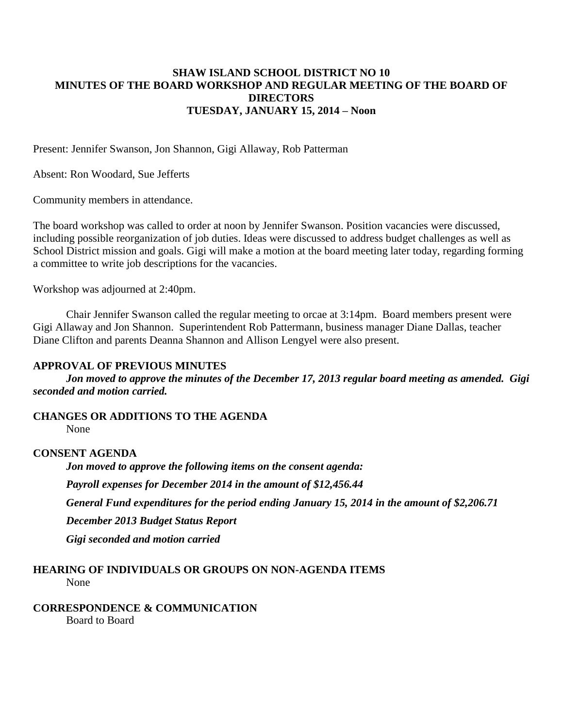#### **SHAW ISLAND SCHOOL DISTRICT NO 10 MINUTES OF THE BOARD WORKSHOP AND REGULAR MEETING OF THE BOARD OF DIRECTORS TUESDAY, JANUARY 15, 2014 – Noon**

Present: Jennifer Swanson, Jon Shannon, Gigi Allaway, Rob Patterman

Absent: Ron Woodard, Sue Jefferts

Community members in attendance.

The board workshop was called to order at noon by Jennifer Swanson. Position vacancies were discussed, including possible reorganization of job duties. Ideas were discussed to address budget challenges as well as School District mission and goals. Gigi will make a motion at the board meeting later today, regarding forming a committee to write job descriptions for the vacancies.

Workshop was adjourned at 2:40pm.

Chair Jennifer Swanson called the regular meeting to orcae at 3:14pm. Board members present were Gigi Allaway and Jon Shannon. Superintendent Rob Pattermann, business manager Diane Dallas, teacher Diane Clifton and parents Deanna Shannon and Allison Lengyel were also present.

#### **APPROVAL OF PREVIOUS MINUTES**

*Jon moved to approve the minutes of the December 17, 2013 regular board meeting as amended. Gigi seconded and motion carried.*

**CHANGES OR ADDITIONS TO THE AGENDA**

None

#### **CONSENT AGENDA**

*Jon moved to approve the following items on the consent agenda: Payroll expenses for December 2014 in the amount of \$12,456.44 General Fund expenditures for the period ending January 15, 2014 in the amount of \$2,206.71 December 2013 Budget Status Report Gigi seconded and motion carried*

## **HEARING OF INDIVIDUALS OR GROUPS ON NON-AGENDA ITEMS**

None

**CORRESPONDENCE & COMMUNICATION**

Board to Board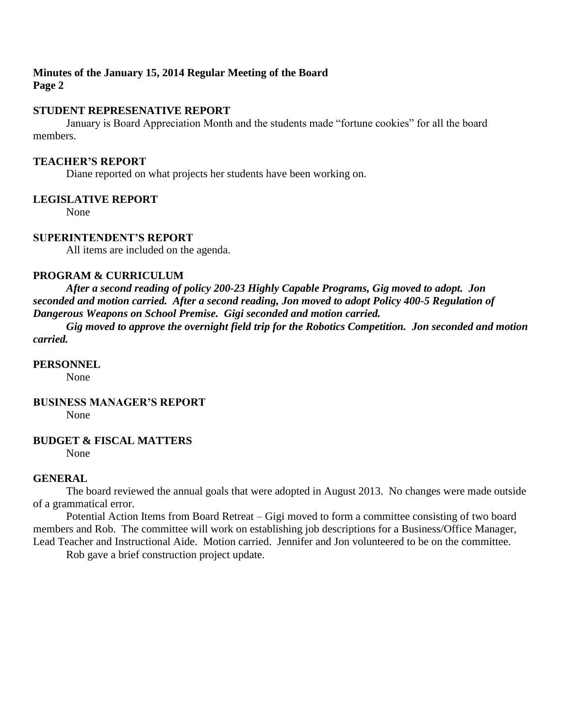### **Minutes of the January 15, 2014 Regular Meeting of the Board Page 2**

#### **STUDENT REPRESENATIVE REPORT**

January is Board Appreciation Month and the students made "fortune cookies" for all the board members.

#### **TEACHER'S REPORT**

Diane reported on what projects her students have been working on.

## **LEGISLATIVE REPORT**

None

#### **SUPERINTENDENT'S REPORT**

All items are included on the agenda.

### **PROGRAM & CURRICULUM**

*After a second reading of policy 200-23 Highly Capable Programs, Gig moved to adopt. Jon seconded and motion carried. After a second reading, Jon moved to adopt Policy 400-5 Regulation of Dangerous Weapons on School Premise. Gigi seconded and motion carried.*

*Gig moved to approve the overnight field trip for the Robotics Competition. Jon seconded and motion carried.*

#### **PERSONNEL**

None

#### **BUSINESS MANAGER'S REPORT**

None

#### **BUDGET & FISCAL MATTERS**

None

#### **GENERAL**

The board reviewed the annual goals that were adopted in August 2013. No changes were made outside of a grammatical error.

Potential Action Items from Board Retreat – Gigi moved to form a committee consisting of two board members and Rob. The committee will work on establishing job descriptions for a Business/Office Manager, Lead Teacher and Instructional Aide. Motion carried. Jennifer and Jon volunteered to be on the committee.

Rob gave a brief construction project update.